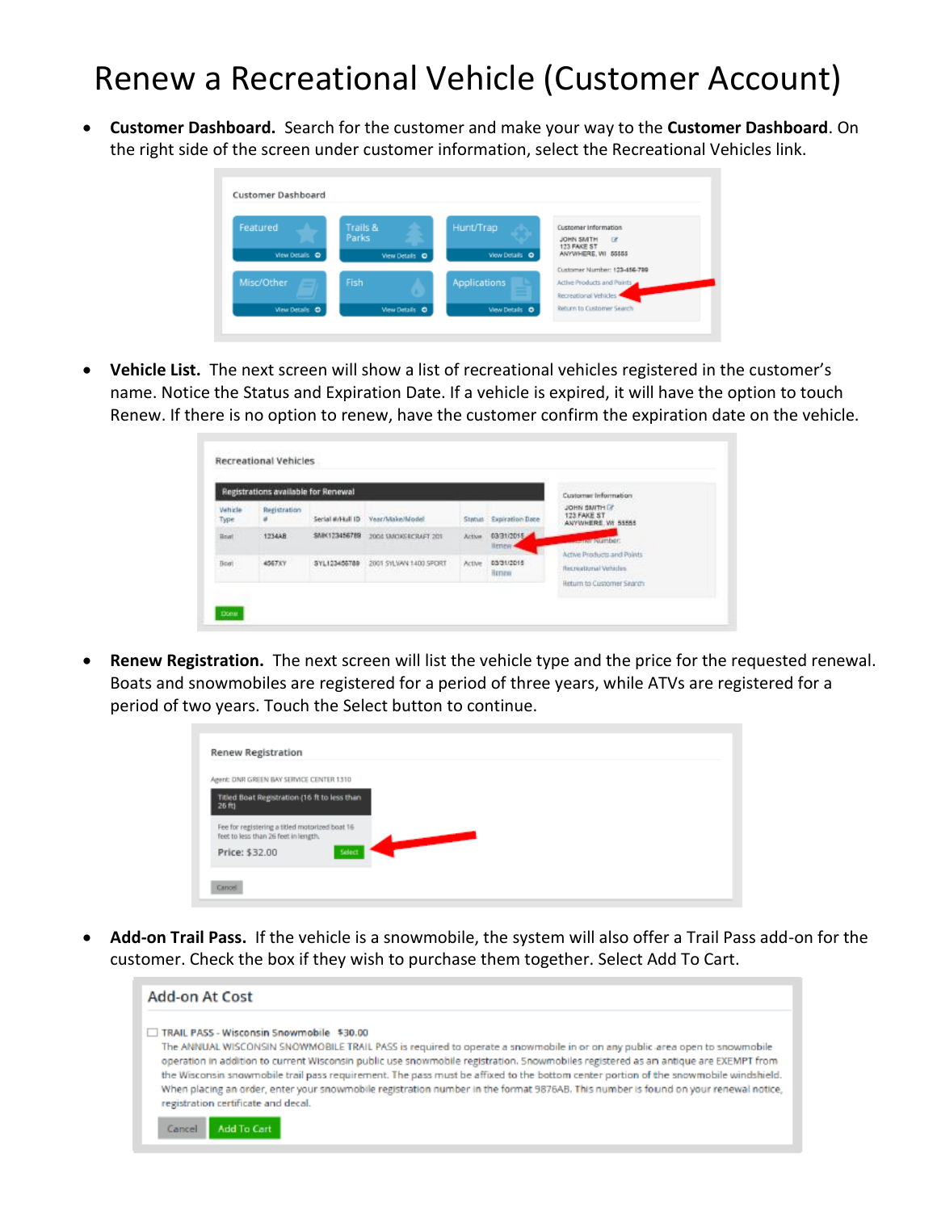## Renew a Recreational Vehicle (Customer Account)

• **Customer Dashboard.** Search for the customer and make your way to the **Customer Dashboard**. On the right side of the screen under customer information, select the Recreational Vehicles link.

| <b>Customer Dashboard</b>  |                                     |                             |                                                                                                         |
|----------------------------|-------------------------------------|-----------------------------|---------------------------------------------------------------------------------------------------------|
| Featured<br>View Details O | Trails &<br>Parks<br>View Details O | Hunt/Trap<br>View Details O | <b>Customer Information</b><br>$\overline{a}$<br><b>JOHN SMITH</b><br>123 FAKE ST<br>ANYWHERE, WI 55555 |
| Misc/Other                 | Fish                                | <b>Applications</b>         | Customer Number: 123-456-789<br>Active Products and Points<br>Recreational Vehicles                     |
| <b>Wew Details</b> O       | View Details O                      | View Details O              | <b>Return to Customer Search</b>                                                                        |

• **Vehicle List.** The next screen will show a list of recreational vehicles registered in the customer's name. Notice the Status and Expiration Date. If a vehicle is expired, it will have the option to touch Renew. If there is no option to renew, have the customer confirm the expiration date on the vehicle.

|                        | Registrations available for Renewal |                             |                        |        |                        | Customer Information                                                              |
|------------------------|-------------------------------------|-----------------------------|------------------------|--------|------------------------|-----------------------------------------------------------------------------------|
| <b>Vehicle</b><br>Type | Registration<br>×                   | Serial #/Hull ID            | Veer/Make/Model        |        | Status Expiration Date | JOHN SMITH IT<br>123 FAKE ST<br>ANYWHERE, WL 55555                                |
| <b>Hoat</b>            | <b>STATISTICS</b><br>1234AB         | SMK123456789                | 2004 DACKSRCRAFT 201   | Action | 03/31/2015<br>lienew/  | www.amper.                                                                        |
| Boat                   | 4567XY<br><b>COLLEGE</b>            | SYL123456789<br>30000000000 | 2001 SYLVAN 1400 SPORT | Active | 03/31/2015<br>Renew    | Active Products and Points.<br>Recreational Vehicles<br>Return to Customer Search |

• **Renew Registration.** The next screen will list the vehicle type and the price for the requested renewal. Boats and snowmobiles are registered for a period of three years, while ATVs are registered for a period of two years. Touch the Select button to continue.

| Agent: DNR GREEN BAY SERVICE CENTER 1310       |        |  |  |
|------------------------------------------------|--------|--|--|
| Titled Boat Registration (16 ft to less than   |        |  |  |
| 26 向                                           |        |  |  |
| Fee for registering a titled motorized boat 16 |        |  |  |
| feet to less than 26 feet in length.           |        |  |  |
| Price: \$32.00                                 | Select |  |  |

• **Add-on Trail Pass.** If the vehicle is a snowmobile, the system will also offer a Trail Pass add-on for the customer. Check the box if they wish to purchase them together. Select Add To Cart.

| <b>Add-on At Cost</b>                                                                                                                                                                                                                                                                                                                                                                                                                                                                                                                                                                                                                                         |
|---------------------------------------------------------------------------------------------------------------------------------------------------------------------------------------------------------------------------------------------------------------------------------------------------------------------------------------------------------------------------------------------------------------------------------------------------------------------------------------------------------------------------------------------------------------------------------------------------------------------------------------------------------------|
| TRAIL PASS - Wisconsin Snowmobile \$30.00<br>The ANNUAL WISCONSIN SNOWMOBILE TRAIL PASS is required to operate a snowmobile in or on any public area open to snowmobile<br>operation in addition to current Wisconsin public use snowmobile registration. Snowmobiles registered as an antique are EXEMPT from<br>the Wisconsin snowmobile trail pass requirement. The pass must be affixed to the bottom center portion of the snowmobile windshield.<br>When placing an order, enter your snowmobile registration number in the format 9876AB. This number is found on your renewal notice,<br>registration certificate and decal.<br>Add To Cart<br>Cancel |